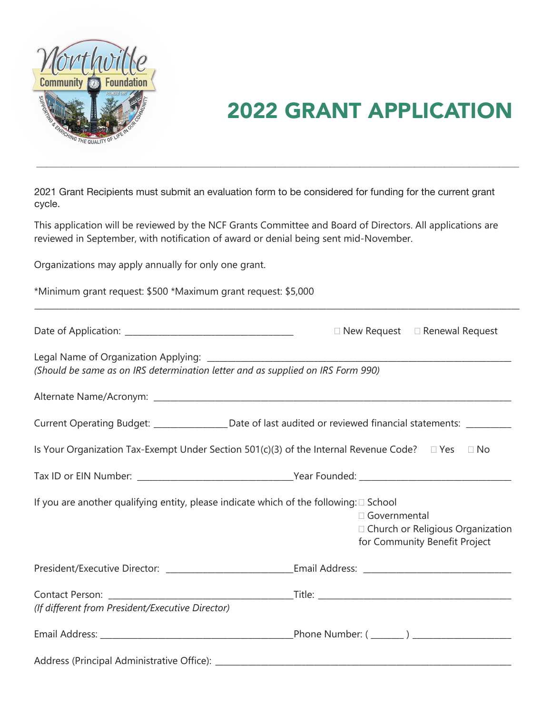

# 2022 GRANT APPLICATION

applicant Decipiente must submit en evaluation form to be considered for funding for the gurrent grant 2021 Grant Recipients must submit an evaluation form to be considered for funding for the current grant cycle. cycle.

 $\mathcal{L}=\{x\in\mathcal{L}^{\infty},\,x\in\mathcal{L}^{\infty}\}$  , where  $\mathcal{L}=\{x\in\mathcal{L}^{\infty},\,x\in\mathcal{L}^{\infty}\}$  , where  $\mathcal{L}^{\infty}$ 

This application will be reviewed by the NCF Grants Committee and Board of Directors. All applications are reviewed in September, with notification of award or denial being sent mid-November.

\_\_\_\_\_\_\_\_\_\_\_\_\_\_\_\_\_\_\_\_\_\_\_\_\_\_\_\_\_\_\_\_\_\_\_\_\_\_\_\_\_\_\_\_\_\_\_\_\_\_\_\_\_\_\_\_\_\_\_\_\_\_\_\_\_\_\_\_\_\_\_\_\_\_\_\_\_\_\_\_\_\_\_\_\_\_\_\_\_\_\_\_\_\_\_\_\_\_\_\_\_\_\_\_\_\_\_\_\_\_\_\_\_\_\_\_\_\_

Organizations may apply annually for only one grant.

|  |  |  |  | *Minimum grant request: \$500 *Maximum grant request: \$5,000 |  |  |  |  |
|--|--|--|--|---------------------------------------------------------------|--|--|--|--|
|--|--|--|--|---------------------------------------------------------------|--|--|--|--|

|                                                                                                                  |                | $\Box$ New Request $\Box$ Renewal Request                         |
|------------------------------------------------------------------------------------------------------------------|----------------|-------------------------------------------------------------------|
| (Should be same as on IRS determination letter and as supplied on IRS Form 990)                                  |                |                                                                   |
|                                                                                                                  |                |                                                                   |
| Current Operating Budget: _________________Date of last audited or reviewed financial statements: __________     |                |                                                                   |
| Is Your Organization Tax-Exempt Under Section 501(c)(3) of the Internal Revenue Code? $\square$ Yes $\square$ No |                |                                                                   |
|                                                                                                                  |                |                                                                   |
| If you are another qualifying entity, please indicate which of the following: $\square$ School                   | □ Governmental | Church or Religious Organization<br>for Community Benefit Project |
| President/Executive Director: ________________________________Email Address: _________________________________   |                |                                                                   |
| (If different from President/Executive Director)                                                                 |                |                                                                   |
|                                                                                                                  |                |                                                                   |
|                                                                                                                  |                |                                                                   |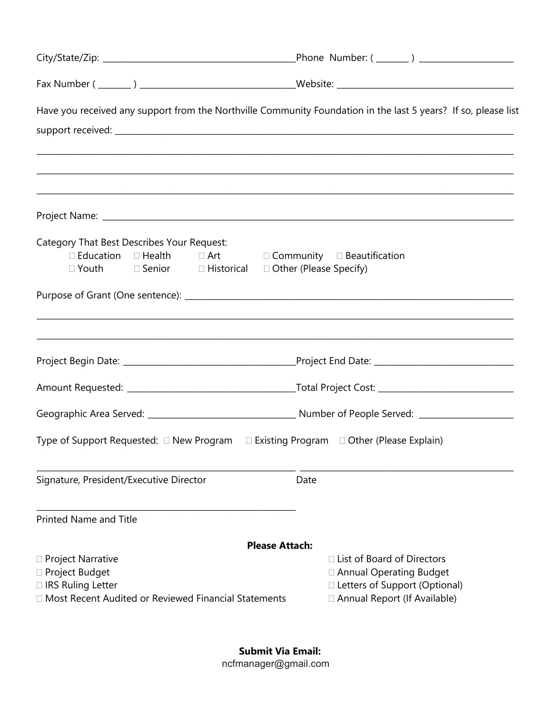| Have you received any support from the Northville Community Foundation in the last 5 years? If so, please list                                                                       |                                                                                                                                          |  |  |  |  |  |
|--------------------------------------------------------------------------------------------------------------------------------------------------------------------------------------|------------------------------------------------------------------------------------------------------------------------------------------|--|--|--|--|--|
| ,一个人的人都是一个人的人,我们就是一个人的人,我们就是一个人的人,我们就是一个人的人,我们就是一个人的人,我们就是一个人的人,我们就是一个人的人,我们就是一个人                                                                                                    |                                                                                                                                          |  |  |  |  |  |
| Category That Best Describes Your Request:<br>$\Box$ Education $\Box$ Health $\Box$ Art $\Box$ Community $\Box$ Beautification<br>□ Youth Genior GHistorical Dother (Please Specify) |                                                                                                                                          |  |  |  |  |  |
| ,我们也不能会在这里的,我们也不能会在这里,我们也不能会在这里,我们也不能会在这里,我们也不能会在这里,我们也不能会在这里,我们也不能会不能会不能会。""我们,我                                                                                                    |                                                                                                                                          |  |  |  |  |  |
|                                                                                                                                                                                      |                                                                                                                                          |  |  |  |  |  |
|                                                                                                                                                                                      |                                                                                                                                          |  |  |  |  |  |
| Type of Support Requested: □ New Program □ Existing Program □ Other (Please Explain)                                                                                                 |                                                                                                                                          |  |  |  |  |  |
| Signature, President/Executive Director                                                                                                                                              | Date                                                                                                                                     |  |  |  |  |  |
| <b>Printed Name and Title</b>                                                                                                                                                        |                                                                                                                                          |  |  |  |  |  |
|                                                                                                                                                                                      | <b>Please Attach:</b>                                                                                                                    |  |  |  |  |  |
| $\Box$ Project Narrative<br>□ Project Budget<br>□ IRS Ruling Letter<br>□ Most Recent Audited or Reviewed Financial Statements                                                        | $\Box$ List of Board of Directors<br>□ Annual Operating Budget<br>$\Box$ Letters of Support (Optional)<br>□ Annual Report (If Available) |  |  |  |  |  |

**Submit Via Email:** ncfmanager@gmail.com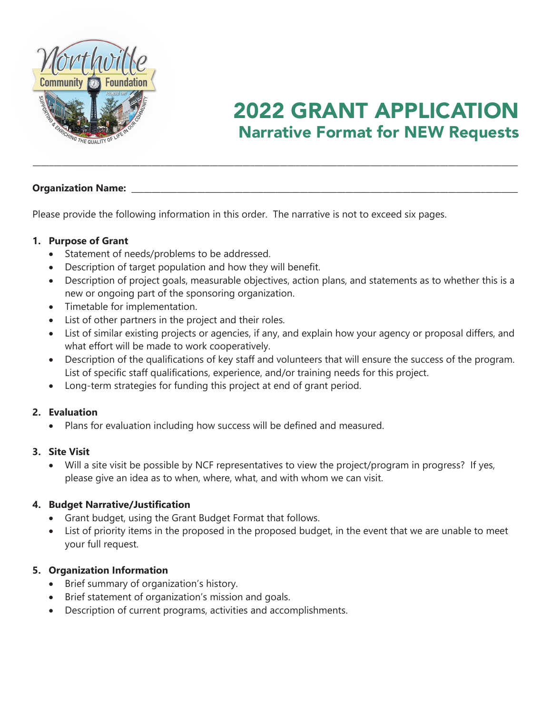

### **Narrative Format for NEW Requests** Narrative Format for New Requests 2022 GRANT APPLICATION

#### **Organization Name:**

Please provide the following information in this order. The narrative is not to exceed six pages.

#### **1. Purpose of Grant**

- Statement of needs/problems to be addressed.
- Description of target population and how they will benefit.
- Description of project goals, measurable objectives, action plans, and statements as to whether this is a new or ongoing part of the sponsoring organization.

\_\_\_\_\_\_\_\_\_\_\_\_\_\_\_\_\_\_\_\_\_\_\_\_\_\_\_\_\_\_\_\_\_\_\_\_\_\_\_\_\_\_\_\_\_\_\_\_\_\_\_\_\_\_\_\_\_\_\_\_\_\_\_\_\_\_\_\_\_\_\_\_\_\_\_\_\_\_\_\_\_\_\_\_\_\_\_\_\_\_\_\_\_\_\_\_\_\_\_\_\_\_\_\_\_\_\_\_\_\_\_\_\_\_\_\_\_\_

- Timetable for implementation.
- List of other partners in the project and their roles.
- List of similar existing projects or agencies, if any, and explain how your agency or proposal differs, and what effort will be made to work cooperatively.
- Description of the qualifications of key staff and volunteers that will ensure the success of the program. List of specific staff qualifications, experience, and/or training needs for this project.
- Long-term strategies for funding this project at end of grant period.

#### **2. Evaluation**

Plans for evaluation including how success will be defined and measured.

#### **3. Site Visit**

 Will a site visit be possible by NCF representatives to view the project/program in progress? If yes, please give an idea as to when, where, what, and with whom we can visit.

#### **4. Budget Narrative/Justification**

- Grant budget, using the Grant Budget Format that follows.
- List of priority items in the proposed in the proposed budget, in the event that we are unable to meet your full request.

#### **5. Organization Information**

- Brief summary of organization's history.
- Brief statement of organization's mission and goals.
- Description of current programs, activities and accomplishments.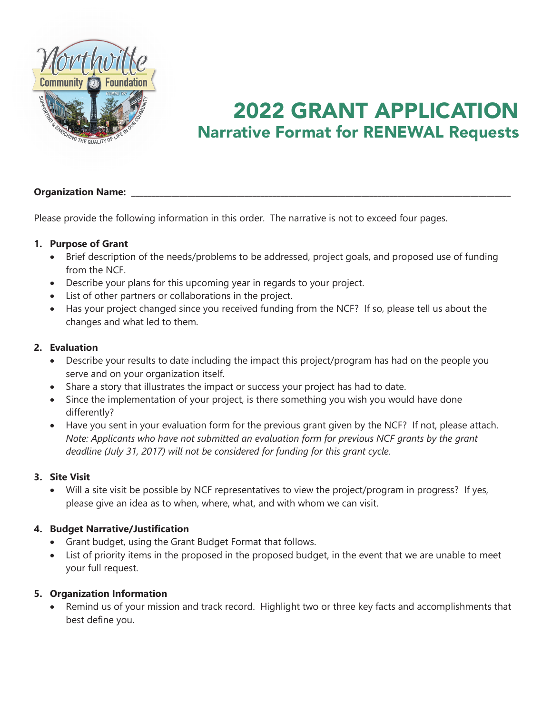

## *EXAMPLE APPROVEL* 2022 GRANT APPLICATION

#### **Organization Name:**

Please provide the following information in this order. The narrative is not to exceed four pages.

#### **1. Purpose of Grant**

- Brief description of the needs/problems to be addressed, project goals, and proposed use of funding from the NCF.
- Describe your plans for this upcoming year in regards to your project.
- List of other partners or collaborations in the project.
- Has your project changed since you received funding from the NCF? If so, please tell us about the changes and what led to them.

#### **2. Evaluation**

- Describe your results to date including the impact this project/program has had on the people you serve and on your organization itself.
- Share a story that illustrates the impact or success your project has had to date.
- Since the implementation of your project, is there something you wish you would have done differently?
- Have you sent in your evaluation form for the previous grant given by the NCF? If not, please attach. *Note: Applicants who have not submitted an evaluation form for previous NCF grants by the grant deadline (July 31, 2017) will not be considered for funding for this grant cycle.*

#### **3. Site Visit**

 Will a site visit be possible by NCF representatives to view the project/program in progress? If yes, please give an idea as to when, where, what, and with whom we can visit.

#### **4. Budget Narrative/Justification**

- Grant budget, using the Grant Budget Format that follows.
- List of priority items in the proposed in the proposed budget, in the event that we are unable to meet your full request.

#### **5. Organization Information**

 Remind us of your mission and track record. Highlight two or three key facts and accomplishments that best define you.